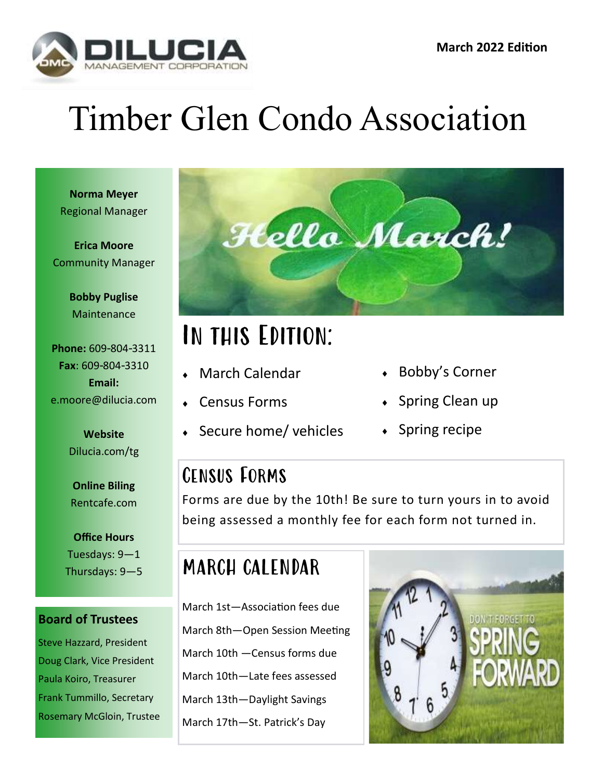

## Timber Glen Condo Association

**Norma Meyer** Regional Manager

**Erica Moore** Community Manager

> **Bobby Puglise** Maintenance

**Phone:** 609-804-3311 **Fax**: 609-804-3310 **Email:** e.moore@dilucia.com

> **Website** Dilucia.com/tg

**Online Biling** Rentcafe.com

**Office Hours** Tuesdays: 9—1 Thursdays: 9—5

#### **Board of Trustees**

Steve Hazzard, President Doug Clark, Vice President Paula Koiro, Treasurer Frank Tummillo, Secretary Rosemary McGloin, Trustee



## In this Edition:

- March Calendar
- Census Forms
- Secure home/ vehicles
- Bobby's Corner
- Spring Clean up
- $\bullet$  Spring recipe

#### Census Forms

Forms are due by the 10th! Be sure to turn yours in to avoid being assessed a monthly fee for each form not turned in.

### MARCH CALENDAR

March 1st—Association fees due March 8th—Open Session Meeting March 10th —Census forms due March 10th—Late fees assessed March 13th—Daylight Savings March 17th—St. Patrick's Day